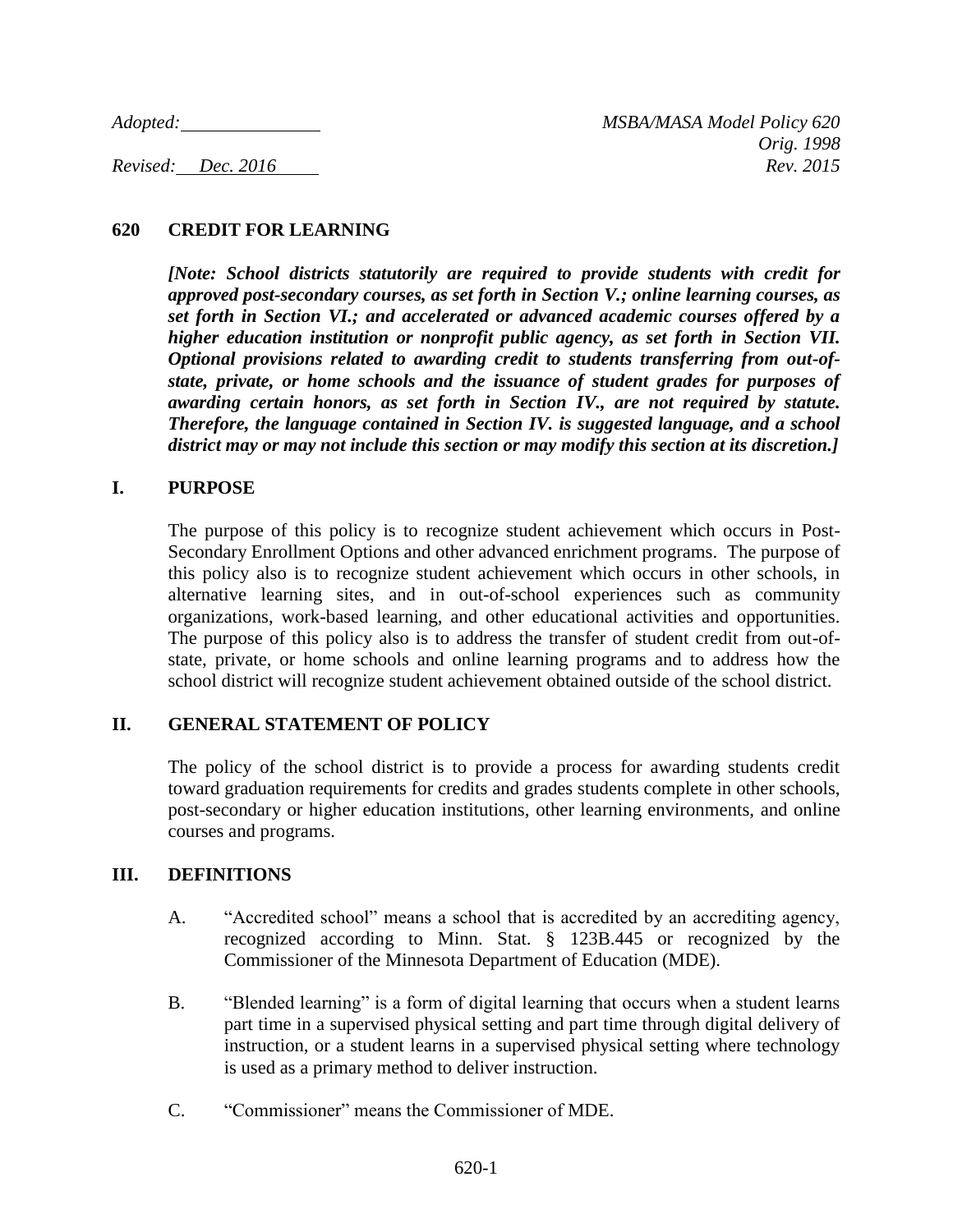## **620 CREDIT FOR LEARNING**

*[Note: School districts statutorily are required to provide students with credit for approved post-secondary courses, as set forth in Section V.; online learning courses, as set forth in Section VI.; and accelerated or advanced academic courses offered by a higher education institution or nonprofit public agency, as set forth in Section VII. Optional provisions related to awarding credit to students transferring from out-ofstate, private, or home schools and the issuance of student grades for purposes of awarding certain honors, as set forth in Section IV., are not required by statute. Therefore, the language contained in Section IV. is suggested language, and a school district may or may not include this section or may modify this section at its discretion.]*

### **I. PURPOSE**

The purpose of this policy is to recognize student achievement which occurs in Post-Secondary Enrollment Options and other advanced enrichment programs. The purpose of this policy also is to recognize student achievement which occurs in other schools, in alternative learning sites, and in out-of-school experiences such as community organizations, work-based learning, and other educational activities and opportunities. The purpose of this policy also is to address the transfer of student credit from out-ofstate, private, or home schools and online learning programs and to address how the school district will recognize student achievement obtained outside of the school district.

## **II. GENERAL STATEMENT OF POLICY**

The policy of the school district is to provide a process for awarding students credit toward graduation requirements for credits and grades students complete in other schools, post-secondary or higher education institutions, other learning environments, and online courses and programs.

### **III. DEFINITIONS**

- A. "Accredited school" means a school that is accredited by an accrediting agency, recognized according to Minn. Stat. § 123B.445 or recognized by the Commissioner of the Minnesota Department of Education (MDE).
- B. "Blended learning" is a form of digital learning that occurs when a student learns part time in a supervised physical setting and part time through digital delivery of instruction, or a student learns in a supervised physical setting where technology is used as a primary method to deliver instruction.
- C. "Commissioner" means the Commissioner of MDE.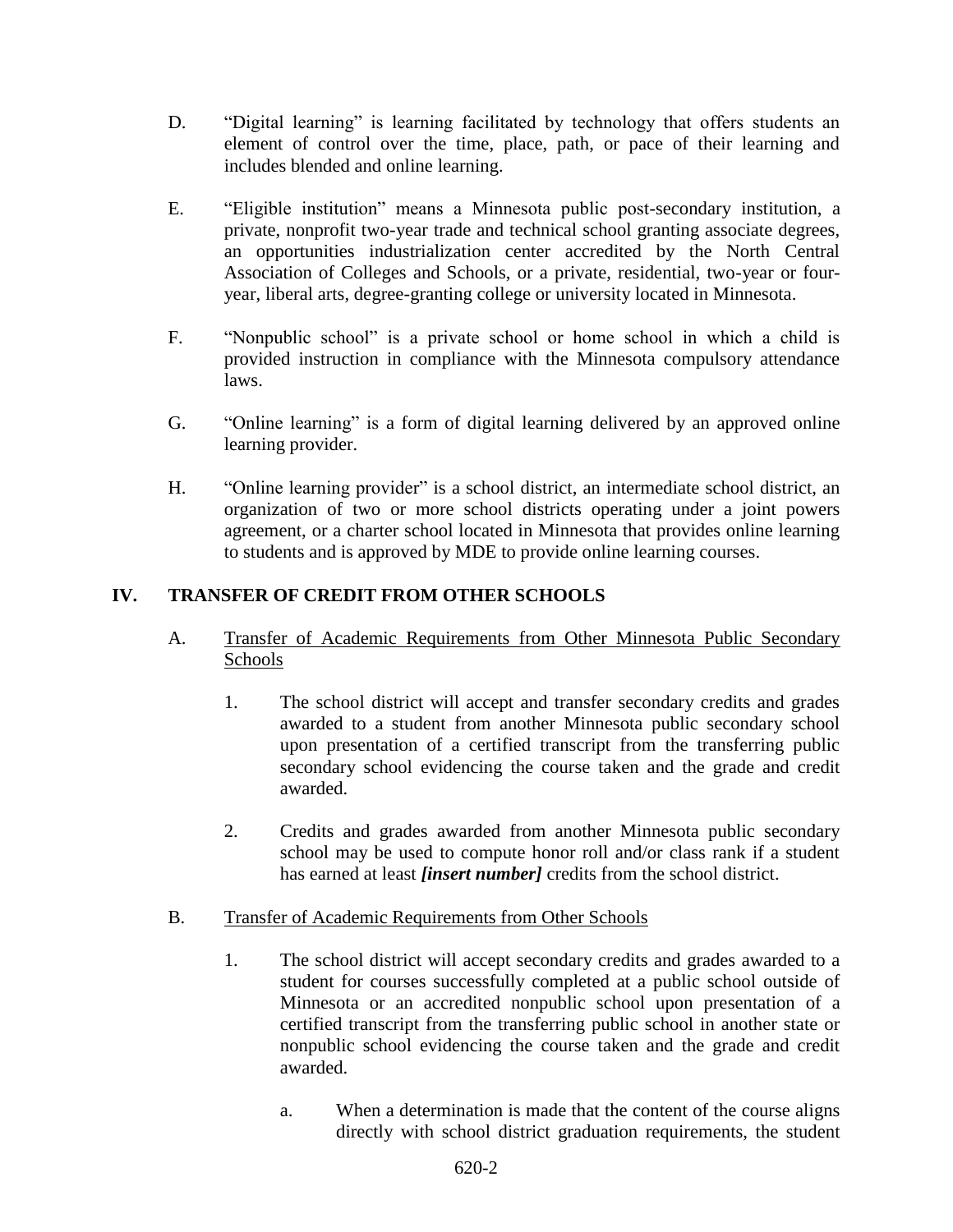- D. "Digital learning" is learning facilitated by technology that offers students an element of control over the time, place, path, or pace of their learning and includes blended and online learning.
- E. "Eligible institution" means a Minnesota public post-secondary institution, a private, nonprofit two-year trade and technical school granting associate degrees, an opportunities industrialization center accredited by the North Central Association of Colleges and Schools, or a private, residential, two-year or fouryear, liberal arts, degree-granting college or university located in Minnesota.
- F. "Nonpublic school" is a private school or home school in which a child is provided instruction in compliance with the Minnesota compulsory attendance laws.
- G. "Online learning" is a form of digital learning delivered by an approved online learning provider.
- H. "Online learning provider" is a school district, an intermediate school district, an organization of two or more school districts operating under a joint powers agreement, or a charter school located in Minnesota that provides online learning to students and is approved by MDE to provide online learning courses.

# **IV. TRANSFER OF CREDIT FROM OTHER SCHOOLS**

- A. Transfer of Academic Requirements from Other Minnesota Public Secondary Schools
	- 1. The school district will accept and transfer secondary credits and grades awarded to a student from another Minnesota public secondary school upon presentation of a certified transcript from the transferring public secondary school evidencing the course taken and the grade and credit awarded.
	- 2. Credits and grades awarded from another Minnesota public secondary school may be used to compute honor roll and/or class rank if a student has earned at least *[insert number]* credits from the school district.
- B. Transfer of Academic Requirements from Other Schools
	- 1. The school district will accept secondary credits and grades awarded to a student for courses successfully completed at a public school outside of Minnesota or an accredited nonpublic school upon presentation of a certified transcript from the transferring public school in another state or nonpublic school evidencing the course taken and the grade and credit awarded.
		- a. When a determination is made that the content of the course aligns directly with school district graduation requirements, the student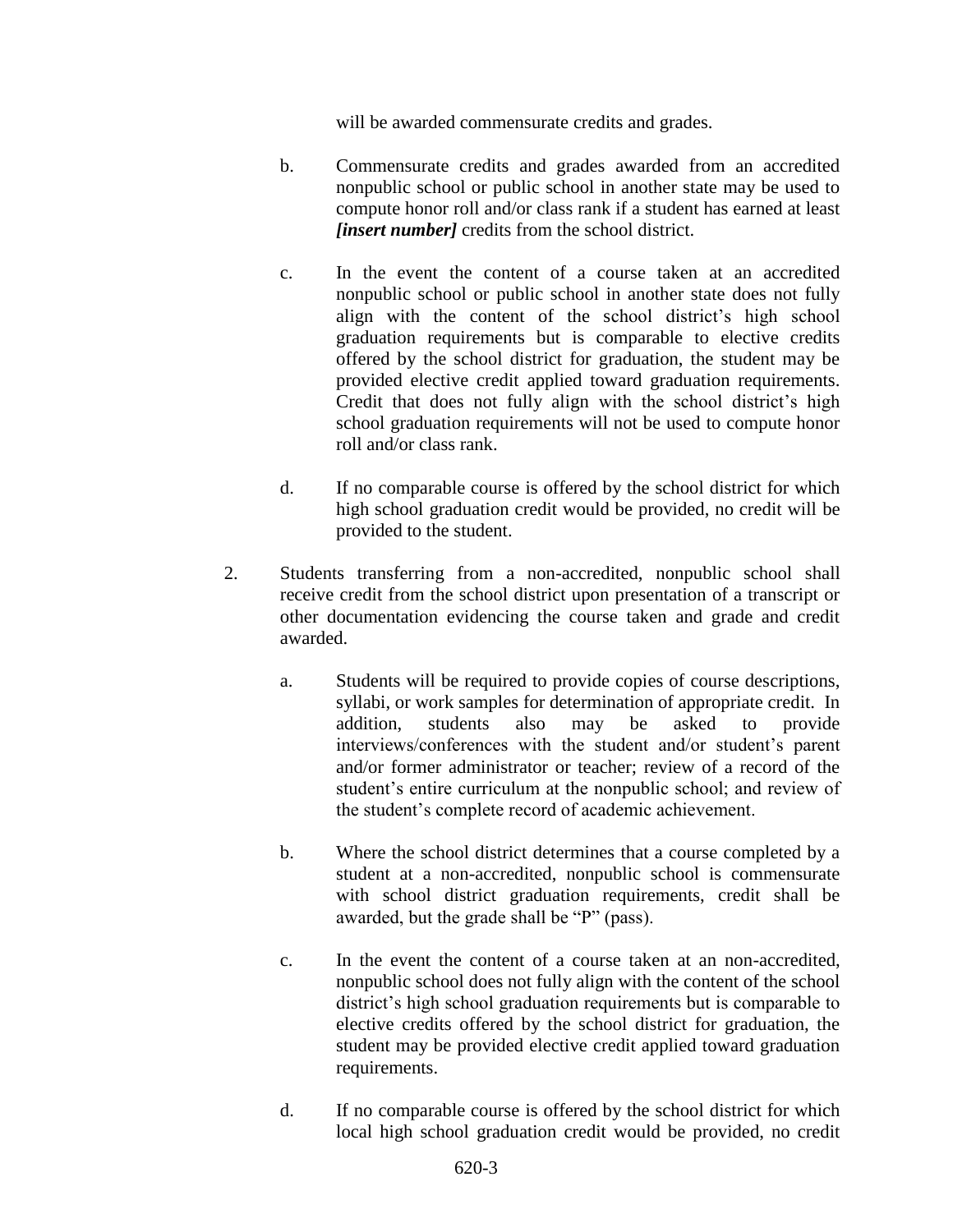will be awarded commensurate credits and grades.

- b. Commensurate credits and grades awarded from an accredited nonpublic school or public school in another state may be used to compute honor roll and/or class rank if a student has earned at least *[insert number]* credits from the school district.
- c. In the event the content of a course taken at an accredited nonpublic school or public school in another state does not fully align with the content of the school district's high school graduation requirements but is comparable to elective credits offered by the school district for graduation, the student may be provided elective credit applied toward graduation requirements. Credit that does not fully align with the school district's high school graduation requirements will not be used to compute honor roll and/or class rank.
- d. If no comparable course is offered by the school district for which high school graduation credit would be provided, no credit will be provided to the student.
- 2. Students transferring from a non-accredited, nonpublic school shall receive credit from the school district upon presentation of a transcript or other documentation evidencing the course taken and grade and credit awarded.
	- a. Students will be required to provide copies of course descriptions, syllabi, or work samples for determination of appropriate credit. In addition, students also may be asked to provide interviews/conferences with the student and/or student's parent and/or former administrator or teacher; review of a record of the student's entire curriculum at the nonpublic school; and review of the student's complete record of academic achievement.
	- b. Where the school district determines that a course completed by a student at a non-accredited, nonpublic school is commensurate with school district graduation requirements, credit shall be awarded, but the grade shall be "P" (pass).
	- c. In the event the content of a course taken at an non-accredited, nonpublic school does not fully align with the content of the school district's high school graduation requirements but is comparable to elective credits offered by the school district for graduation, the student may be provided elective credit applied toward graduation requirements.
	- d. If no comparable course is offered by the school district for which local high school graduation credit would be provided, no credit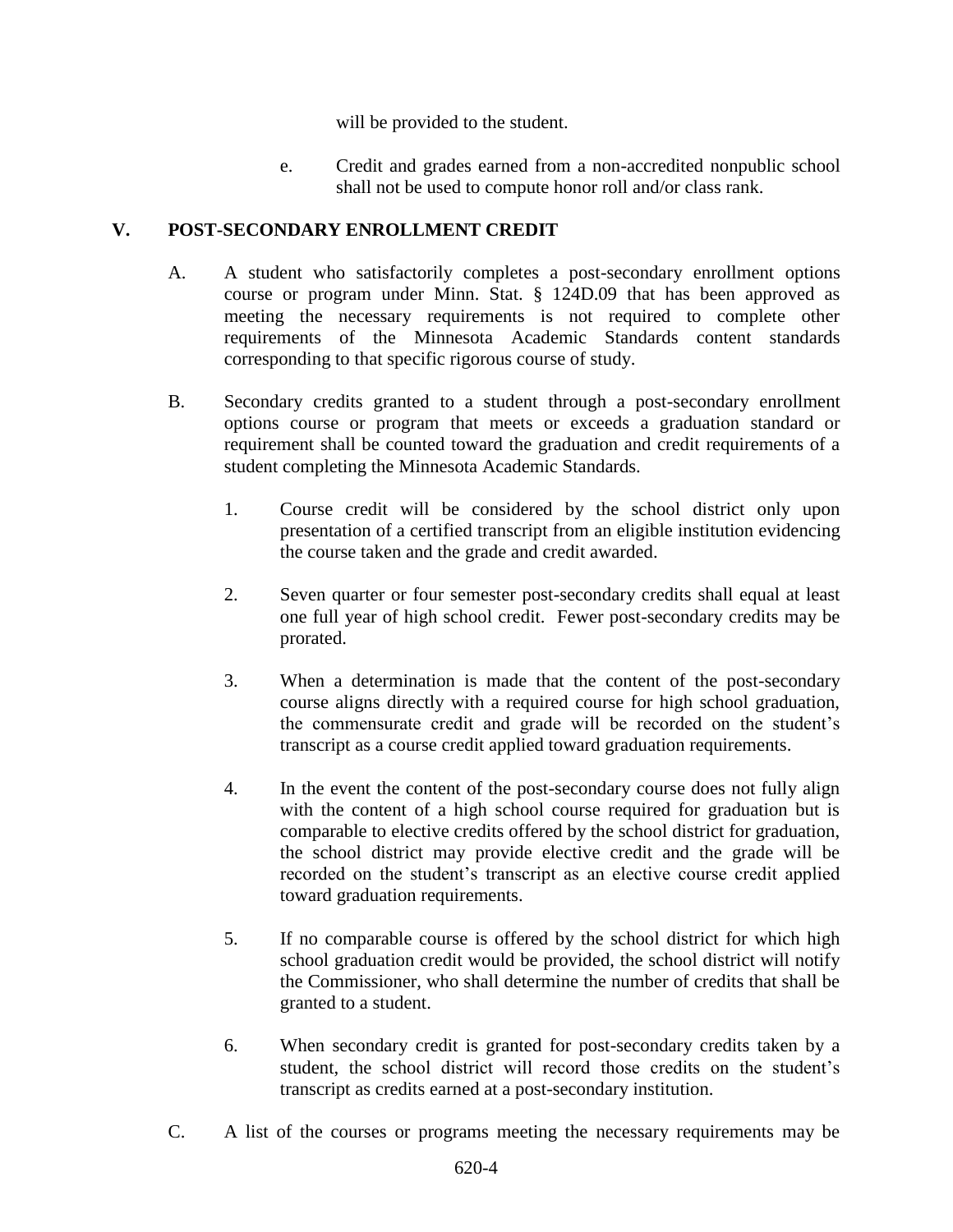will be provided to the student.

e. Credit and grades earned from a non-accredited nonpublic school shall not be used to compute honor roll and/or class rank.

# **V. POST-SECONDARY ENROLLMENT CREDIT**

- A. A student who satisfactorily completes a post-secondary enrollment options course or program under Minn. Stat. § 124D.09 that has been approved as meeting the necessary requirements is not required to complete other requirements of the Minnesota Academic Standards content standards corresponding to that specific rigorous course of study.
- B. Secondary credits granted to a student through a post-secondary enrollment options course or program that meets or exceeds a graduation standard or requirement shall be counted toward the graduation and credit requirements of a student completing the Minnesota Academic Standards.
	- 1. Course credit will be considered by the school district only upon presentation of a certified transcript from an eligible institution evidencing the course taken and the grade and credit awarded.
	- 2. Seven quarter or four semester post-secondary credits shall equal at least one full year of high school credit. Fewer post-secondary credits may be prorated.
	- 3. When a determination is made that the content of the post-secondary course aligns directly with a required course for high school graduation, the commensurate credit and grade will be recorded on the student's transcript as a course credit applied toward graduation requirements.
	- 4. In the event the content of the post-secondary course does not fully align with the content of a high school course required for graduation but is comparable to elective credits offered by the school district for graduation, the school district may provide elective credit and the grade will be recorded on the student's transcript as an elective course credit applied toward graduation requirements.
	- 5. If no comparable course is offered by the school district for which high school graduation credit would be provided, the school district will notify the Commissioner, who shall determine the number of credits that shall be granted to a student.
	- 6. When secondary credit is granted for post-secondary credits taken by a student, the school district will record those credits on the student's transcript as credits earned at a post-secondary institution.
- C. A list of the courses or programs meeting the necessary requirements may be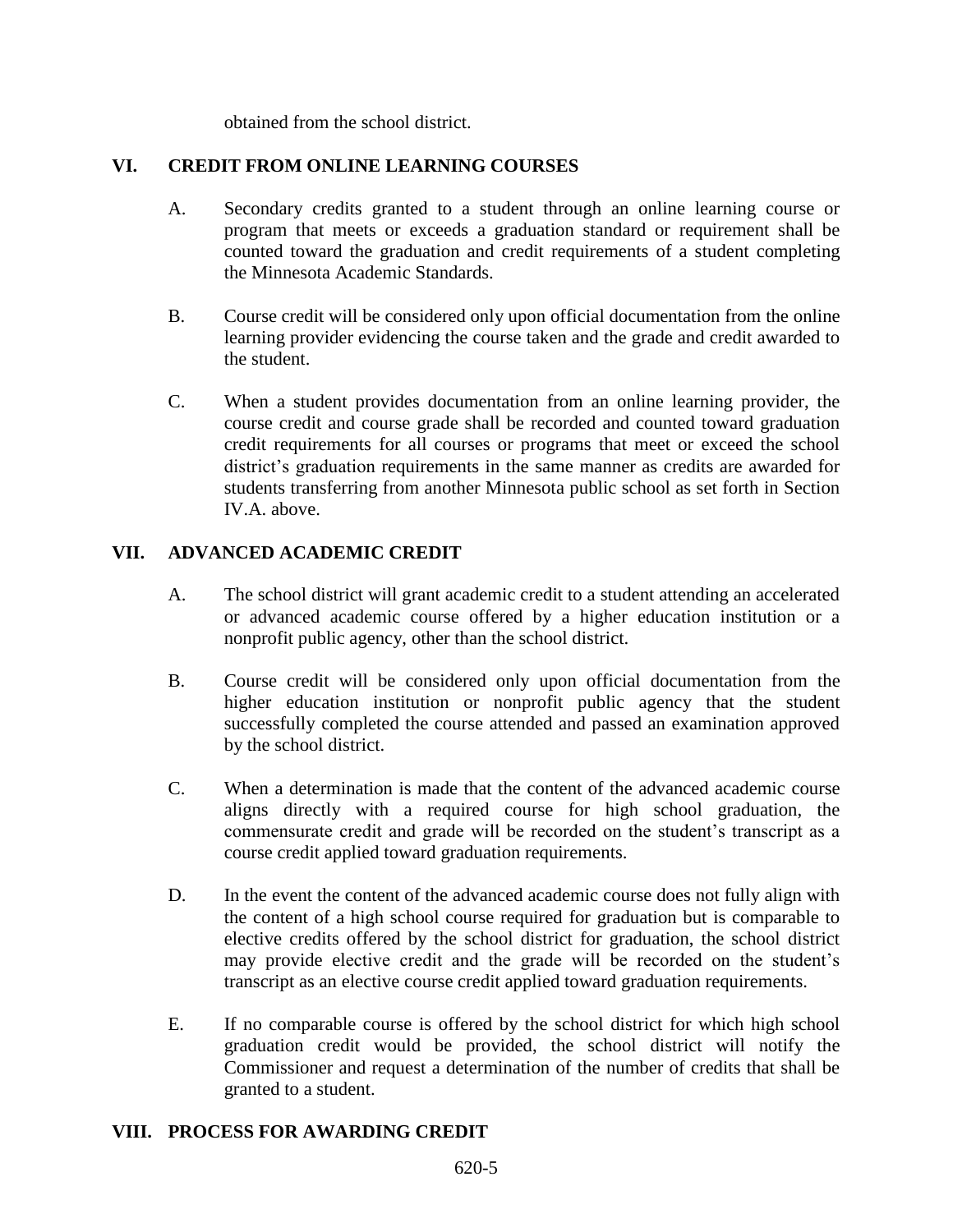obtained from the school district.

### **VI. CREDIT FROM ONLINE LEARNING COURSES**

- A. Secondary credits granted to a student through an online learning course or program that meets or exceeds a graduation standard or requirement shall be counted toward the graduation and credit requirements of a student completing the Minnesota Academic Standards.
- B. Course credit will be considered only upon official documentation from the online learning provider evidencing the course taken and the grade and credit awarded to the student.
- C. When a student provides documentation from an online learning provider, the course credit and course grade shall be recorded and counted toward graduation credit requirements for all courses or programs that meet or exceed the school district's graduation requirements in the same manner as credits are awarded for students transferring from another Minnesota public school as set forth in Section IV.A. above.

### **VII. ADVANCED ACADEMIC CREDIT**

- A. The school district will grant academic credit to a student attending an accelerated or advanced academic course offered by a higher education institution or a nonprofit public agency, other than the school district.
- B. Course credit will be considered only upon official documentation from the higher education institution or nonprofit public agency that the student successfully completed the course attended and passed an examination approved by the school district.
- C. When a determination is made that the content of the advanced academic course aligns directly with a required course for high school graduation, the commensurate credit and grade will be recorded on the student's transcript as a course credit applied toward graduation requirements.
- D. In the event the content of the advanced academic course does not fully align with the content of a high school course required for graduation but is comparable to elective credits offered by the school district for graduation, the school district may provide elective credit and the grade will be recorded on the student's transcript as an elective course credit applied toward graduation requirements.
- E. If no comparable course is offered by the school district for which high school graduation credit would be provided, the school district will notify the Commissioner and request a determination of the number of credits that shall be granted to a student.

### **VIII. PROCESS FOR AWARDING CREDIT**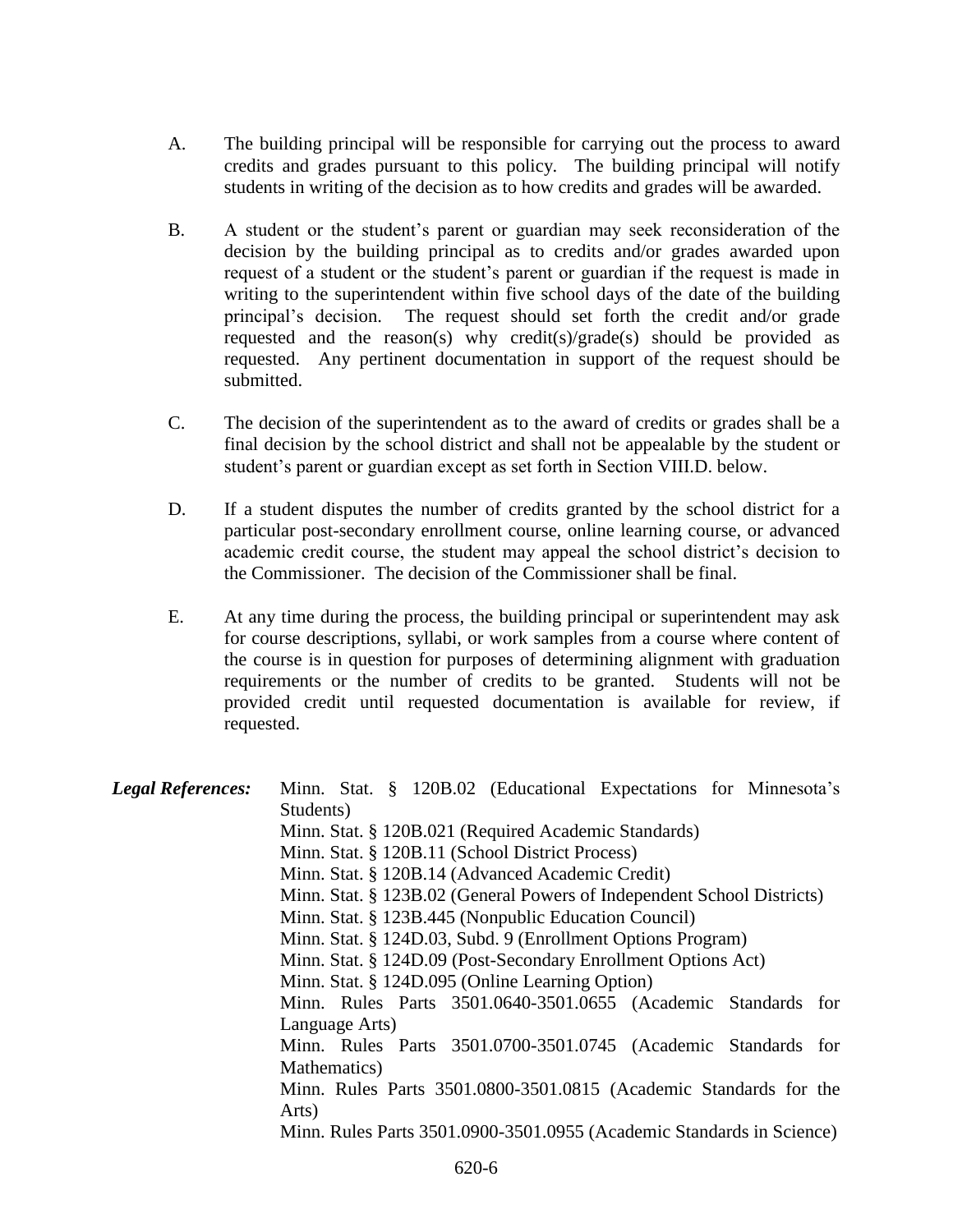- A. The building principal will be responsible for carrying out the process to award credits and grades pursuant to this policy. The building principal will notify students in writing of the decision as to how credits and grades will be awarded.
- B. A student or the student's parent or guardian may seek reconsideration of the decision by the building principal as to credits and/or grades awarded upon request of a student or the student's parent or guardian if the request is made in writing to the superintendent within five school days of the date of the building principal's decision. The request should set forth the credit and/or grade requested and the reason(s) why credit(s)/grade(s) should be provided as requested. Any pertinent documentation in support of the request should be submitted.
- C. The decision of the superintendent as to the award of credits or grades shall be a final decision by the school district and shall not be appealable by the student or student's parent or guardian except as set forth in Section VIII.D. below.
- D. If a student disputes the number of credits granted by the school district for a particular post-secondary enrollment course, online learning course, or advanced academic credit course, the student may appeal the school district's decision to the Commissioner. The decision of the Commissioner shall be final.
- E. At any time during the process, the building principal or superintendent may ask for course descriptions, syllabi, or work samples from a course where content of the course is in question for purposes of determining alignment with graduation requirements or the number of credits to be granted. Students will not be provided credit until requested documentation is available for review, if requested.

| <b>Legal References:</b> | Minn. Stat. § 120B.02 (Educational Expectations for Minnesota's        |
|--------------------------|------------------------------------------------------------------------|
|                          | Students)                                                              |
|                          | Minn. Stat. § 120B.021 (Required Academic Standards)                   |
|                          | Minn. Stat. § 120B.11 (School District Process)                        |
|                          | Minn. Stat. § 120B.14 (Advanced Academic Credit)                       |
|                          | Minn. Stat. § 123B.02 (General Powers of Independent School Districts) |
|                          | Minn. Stat. § 123B.445 (Nonpublic Education Council)                   |
|                          | Minn. Stat. § 124D.03, Subd. 9 (Enrollment Options Program)            |
|                          | Minn. Stat. § 124D.09 (Post-Secondary Enrollment Options Act)          |
|                          | Minn. Stat. § 124D.095 (Online Learning Option)                        |
|                          | Minn. Rules Parts 3501.0640-3501.0655 (Academic Standards for          |
|                          | Language Arts)                                                         |
|                          | Minn. Rules Parts 3501.0700-3501.0745 (Academic Standards for          |
|                          | Mathematics)                                                           |
|                          | Minn. Rules Parts 3501.0800-3501.0815 (Academic Standards for the      |
|                          | Arts)                                                                  |
|                          | Minn. Rules Parts 3501.0900-3501.0955 (Academic Standards in Science)  |